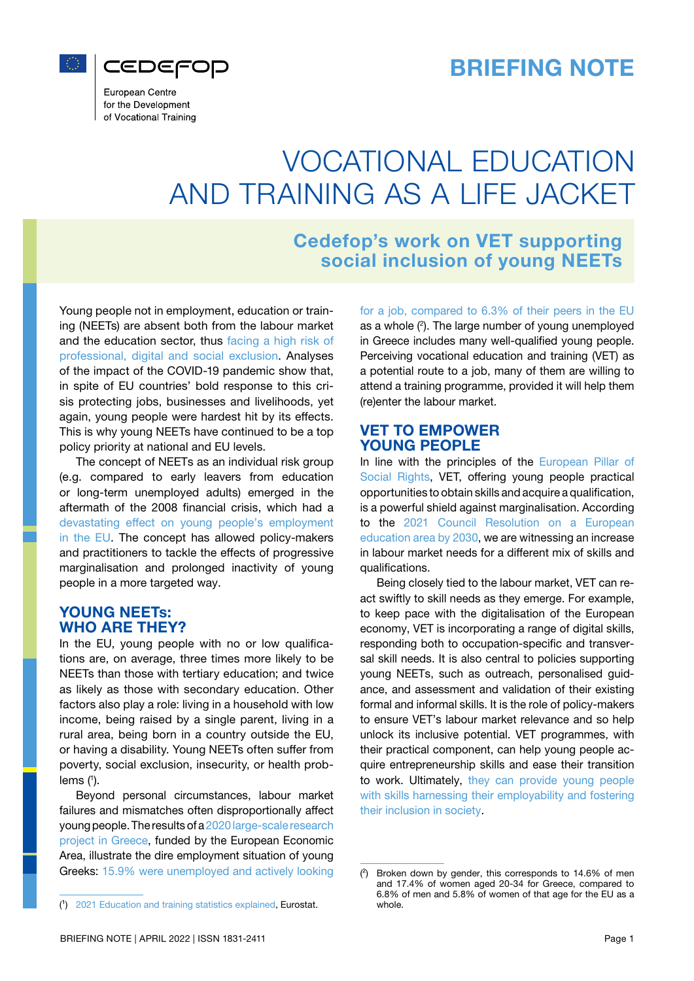



European Centre for the Development of Vocational Training

# VOCATIONAL EDUCATION AND TRAINING AS A LIFE JACKET

# Cedefop's work on VET supporting social inclusion of young NEETs

Young people not in employment, education or training (NEETs) are absent both from the labour market and the education sector, thus [facing a high risk of](https://eur-lex.europa.eu/legal-content/EN/TXT/PDF/?uri=uriserv:OJ.C_.2021.066.01.0001.01.ENG) [professional, digital and social exclusion.](https://eur-lex.europa.eu/legal-content/EN/TXT/PDF/?uri=uriserv:OJ.C_.2021.066.01.0001.01.ENG) Analyses of the impact of the COVID-19 pandemic show that, in spite of EU countries' bold response to this crisis protecting jobs, businesses and livelihoods, yet again, young people were hardest hit by its effects. This is why young NEETs have continued to be a top policy priority at national and EU levels.

The concept of NEETs as an individual risk group (e.g. compared to early leavers from education or long-term unemployed adults) emerged in the aftermath of the 2008 financial crisis, which had a [devastating effect on young people's employment](https://reports.weforum.org/global-risks-2018/youth-unemployment/) [in the EU.](https://reports.weforum.org/global-risks-2018/youth-unemployment/) The concept has allowed policy-makers and practitioners to tackle the effects of progressive marginalisation and prolonged inactivity of young people in a more targeted way.

# YOUNG NEETs: WHO ARE THEY?

In the EU, young people with no or low qualifications are, on average, three times more likely to be NEETs than those with tertiary education; and twice as likely as those with secondary education. Other factors also play a role: living in a household with low income, being raised by a single parent, living in a rural area, being born in a country outside the EU, or having a disability. Young NEETs often suffer from poverty, social exclusion, insecurity, or health problems (1).

Beyond personal circumstances, labour market failures and mismatches often disproportionally affect young people. The results of a [2020 large-scale research](http://neets2.soc.uoc.gr/?page_id=53&lang=el) [project in Greece,](http://neets2.soc.uoc.gr/?page_id=53&lang=el) funded by the European Economic Area, illustrate the dire employment situation of young Greeks: [15.9% were unemployed and actively looking](https://ec.europa.eu/eurostat/statistics-explained/index.php?title=Statistics_on_young_people_neither_in_employment_nor_in_education_or_training#NEETs:_analysis_by_activity_status)

[for a job, compared to 6.3% of their peers in the EU](https://ec.europa.eu/eurostat/statistics-explained/index.php?title=Statistics_on_young_people_neither_in_employment_nor_in_education_or_training#NEETs:_analysis_by_activity_status) as a whole (2 ). The large number of young unemployed in Greece includes many well-qualified young people. Perceiving vocational education and training (VET) as a potential route to a job, many of them are willing to attend a training programme, provided it will help them (re)enter the labour market.

# VET TO EMPOWER YOUNG PEOPLE

In line with the principles of the [European Pillar of](https://ec.europa.eu/info/strategy/priorities-2019-2024/economy-works-people/jobs-growth-and-investment/european-pillar-social-rights_en) [Social Rights,](https://ec.europa.eu/info/strategy/priorities-2019-2024/economy-works-people/jobs-growth-and-investment/european-pillar-social-rights_en) VET, offering young people practical opportunities to obtain skills and acquire a qualification, is a powerful shield against marginalisation. According to the [2021 Council Resolution on a European](https://eur-lex.europa.eu/legal-content/EN/TXT/PDF/?uri=uriserv:OJ.C_.2021.066.01.0001.01.ENG) [education area by 2030](https://eur-lex.europa.eu/legal-content/EN/TXT/PDF/?uri=uriserv:OJ.C_.2021.066.01.0001.01.ENG), we are witnessing an increase in labour market needs for a different mix of skills and qualifications.

Being closely tied to the labour market, VET can react swiftly to skill needs as they emerge. For example, to keep pace with the digitalisation of the European economy, VET is incorporating a range of digital skills, responding both to occupation-specific and transversal skill needs. It is also central to policies supporting young NEETs, such as outreach, personalised guidance, and assessment and validation of their existing formal and informal skills. It is the role of policy-makers to ensure VET's labour market relevance and so help unlock its inclusive potential. VET programmes, with their practical component, can help young people acquire entrepreneurship skills and ease their transition to work. Ultimately, [they can provide young people](https://www.cedefop.europa.eu/en/tools/neets/blog/how-vet-can-empower-neets) [with skills harnessing their employability and fostering](https://www.cedefop.europa.eu/en/tools/neets/blog/how-vet-can-empower-neets) [their inclusion in society.](https://www.cedefop.europa.eu/en/tools/neets/blog/how-vet-can-empower-neets)

<sup>(1)</sup> [2021 Education and training statistics explained](https://ec.europa.eu/eurostat/statistics-explained/index.php?title=Statistics_on_young_people_neither_in_employment_nor_in_education_or_training), Eurostat.

 $(2)$  Broken down by gender, this corresponds to 14.6% of men and 17.4% of women aged 20-34 for Greece, compared to 6.8% of men and 5.8% of women of that age for the EU as a whole.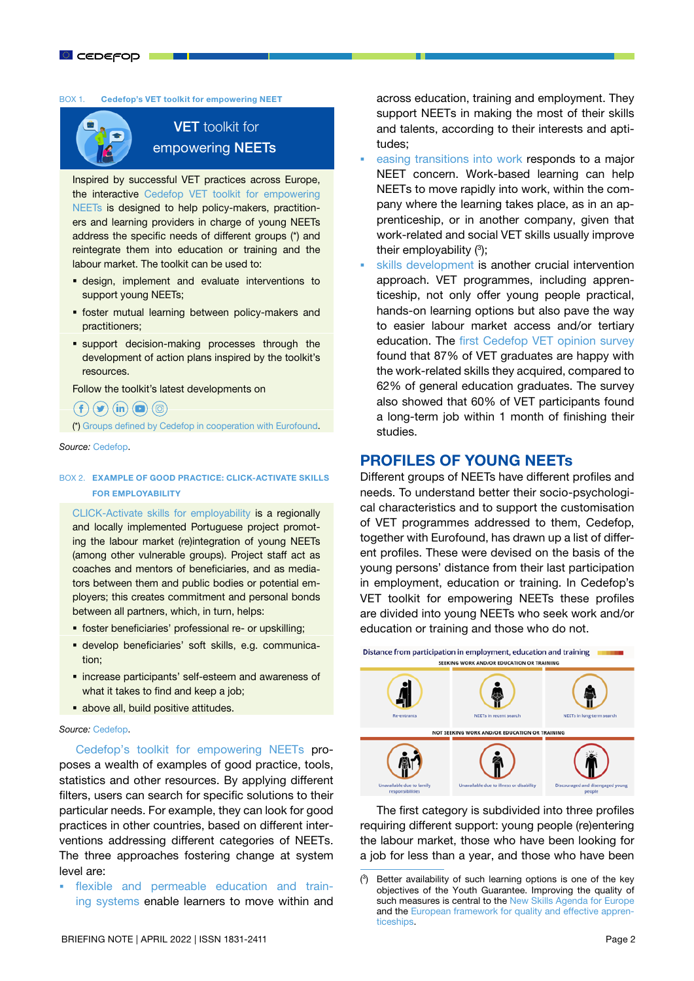#### BOX 1. Cedefop's VET toolkit for empowering NEET



# **VET** toolkit for empowering NEETs

Inspired by successful VET practices across Europe, the interactive [Cedefop VET toolkit for empowering](https://www.cedefop.europa.eu/en/tools/neets)  [NEETs](https://www.cedefop.europa.eu/en/tools/neets) is designed to help policy-makers, practitioners and learning providers in charge of young NEETs address the specific needs of different groups (\*) and reintegrate them into education or training and the labour market. The toolkit can be used to:

- design, implement and evaluate interventions to support young NEETs;
- **foster mutual learning between policy-makers and** practitioners;
- **support decision-making processes through the** development of action plans inspired by the toolkit's resources.

Follow the toolkit's latest developments on

# $(f)(\blacktriangleright)(\mathbf{in})(\square)(\textcircled{\scriptsize{\textcircled{\small{\#}}}})$

(\*) [Groups defined by Cedefop in cooperation with Eurofound.](https://www.cedefop.europa.eu/en/tools/neets/resources/eurofound-exploring-diversity-neets)

*Source:* [Cedefop.](https://www.cedefop.europa.eu/en/tools/neets)

#### BOX 2. EXAMPLE OF GOOD PRACTICE: CLICK-ACTIVATE SKILLS FOR EMPLOYABILITY

[CLICK-Activate skills for employability](https://www.cedefop.europa.eu/en/tools/neets/resources/project-click-activate-skills-employability) is a regionally and locally implemented Portuguese project promoting the labour market (re)integration of young NEETs (among other vulnerable groups). Project staff act as coaches and mentors of beneficiaries, and as mediators between them and public bodies or potential employers; this creates commitment and personal bonds between all partners, which, in turn, helps:

- foster beneficiaries' professional re- or upskilling;
- develop beneficiaries' soft skills, e.g. communication;
- **·** increase participants' self-esteem and awareness of what it takes to find and keep a job;
- above all, build positive attitudes.

#### *Source:* [Cedefop.](https://www.cedefop.europa.eu/en/tools/neets)

[Cedefop's toolkit for empowering NEETs](https://www.cedefop.europa.eu/en/tools/neets) proposes a wealth of examples of good practice, tools, statistics and other resources. By applying different filters, users can search for specific solutions to their particular needs. For example, they can look for good practices in other countries, based on different interventions addressing different categories of NEETs. The three approaches fostering change at system level are:

 [flexible and permeable education and train](https://www.cedefop.europa.eu/en/tools/neets/intervention-approaches/flexible-and-permeable-education-and-training-systems)[ing systems](https://www.cedefop.europa.eu/en/tools/neets/intervention-approaches/flexible-and-permeable-education-and-training-systems) enable learners to move within and across education, training and employment. They support NEETs in making the most of their skills and talents, according to their interests and aptitudes;

- [easing transitions into work](https://www.cedefop.europa.eu/en/tools/neets/intervention-approaches/easing-transitions-work) responds to a major NEET concern. Work-based learning can help NEETs to move rapidly into work, within the company where the learning takes place, as in an apprenticeship, or in another company, given that work-related and social VET skills usually improve their employability (3);
- [skills development](https://www.cedefop.europa.eu/en/tools/neets/intervention-approaches/skills-development) is another crucial intervention approach. VET programmes, including apprenticeship, not only offer young people practical, hands-on learning options but also pave the way to easier labour market access and/or tertiary education. The [first Cedefop VET opinion survey](https://www.cedefop.europa.eu/files/5562_en.pdf) found that 87% of VET graduates are happy with the work-related skills they acquired, compared to 62% of general education graduates. The survey also showed that 60% of VET participants found a long-term job within 1 month of finishing their studies.

### PROFILES OF YOUNG NEETs

Different groups of NEETs have different profiles and needs. To understand better their socio-psychological characteristics and to support the customisation of VET programmes addressed to them, Cedefop, together with Eurofound, has drawn up a list of different profiles. These were devised on the basis of the young persons' distance from their last participation in employment, education or training. In Cedefop's VET toolkit for empowering NEETs these profiles are divided into young NEETs who seek work and/or education or training and those who do not.



The first category is subdivided into three profiles requiring different support: young people (re)entering the labour market, those who have been looking for a job for less than a year, and those who have been

 $(3)$  Better availability of such learning options is one of the key objectives of the Youth Guarantee. Improving the quality of such measures is central to the [New Skills Agenda for Europe](https://ec.europa.eu/social/main.jsp?catId=1223&langId=en) and the [European framework for quality and effective appren](https://eur-lex.europa.eu/legal-content/EN/TXT/?uri=CELEX%3A32018H0502%2801%29)[ticeships](https://eur-lex.europa.eu/legal-content/EN/TXT/?uri=CELEX%3A32018H0502%2801%29).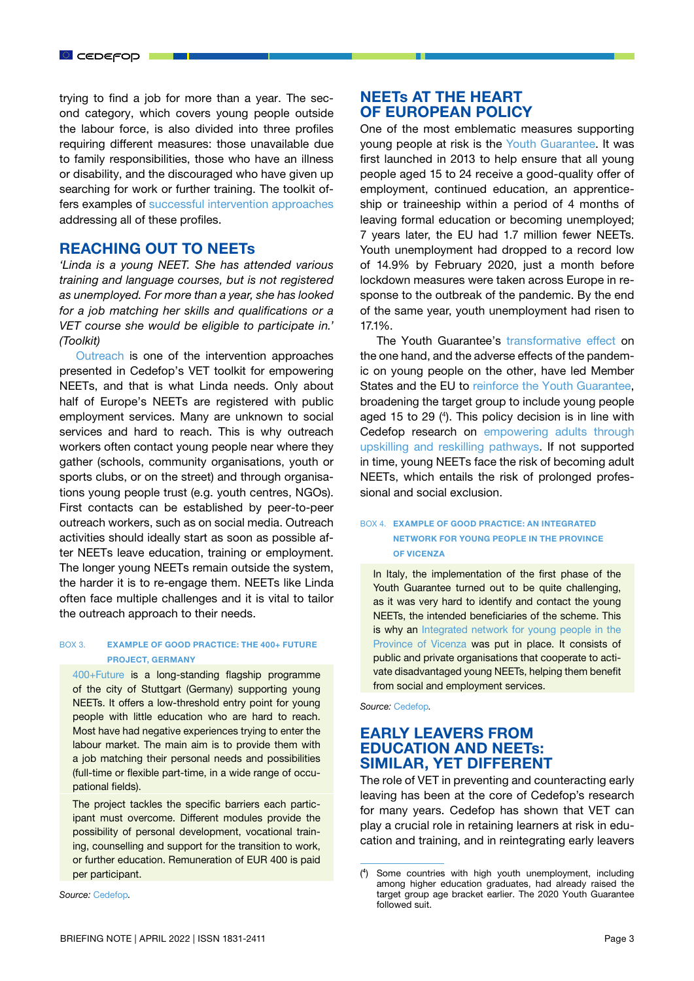trying to find a job for more than a year. The second category, which covers young people outside the labour force, is also divided into three profiles requiring different measures: those unavailable due to family responsibilities, those who have an illness or disability, and the discouraged who have given up searching for work or further training. The toolkit offers examples of [successful intervention approaches](https://www.cedefop.europa.eu/en/tools/neets/intervention-approaches) addressing all of these profiles.

### REACHING OUT TO NEETs

*'Linda is a young NEET. She has attended various training and language courses, but is not registered as unemployed. For more than a year, she has looked for a job matching her skills and qualifications or a VET course she would be eligible to participate in.' (Toolkit)*

[Outreach](https://www.cedefop.europa.eu/en/tools/neets/intervention-approaches/outreach) is one of the intervention approaches presented in Cedefop's VET toolkit for empowering NEETs, and that is what Linda needs. Only about half of Europe's NEETs are registered with public employment services. Many are unknown to social services and hard to reach. This is why outreach workers often contact young people near where they gather (schools, community organisations, youth or sports clubs, or on the street) and through organisations young people trust (e.g. youth centres, NGOs). First contacts can be established by peer-to-peer outreach workers, such as on social media. Outreach activities should ideally start as soon as possible after NEETs leave education, training or employment. The longer young NEETs remain outside the system, the harder it is to re-engage them. NEETs like Linda often face multiple challenges and it is vital to tailor the outreach approach to their needs.

#### BOX 3. EXAMPLE OF GOOD PRACTICE: THE 400+ FUTURE PROJECT, GERMANY

[400+Future](https://www.cedefop.europa.eu/en/tools/neets/resources/400future) is a long-standing flagship programme of the city of Stuttgart (Germany) supporting young NEETs. It offers a low-threshold entry point for young people with little education who are hard to reach. Most have had negative experiences trying to enter the labour market. The main aim is to provide them with a job matching their personal needs and possibilities (full-time or flexible part-time, in a wide range of occupational fields).

The project tackles the specific barriers each participant must overcome. Different modules provide the possibility of personal development, vocational training, counselling and support for the transition to work, or further education. Remuneration of EUR 400 is paid per participant.

*Source:* [Cedefop](https://www.cedefop.europa.eu/en/tools/neets)*.*

# NEETs AT THE HEART OF EUROPEAN POLICY

One of the most emblematic measures supporting young people at risk is the [Youth Guarantee.](https://ec.europa.eu/social/main.jsp?catId=1079&langId=en) It was first launched in 2013 to help ensure that all young people aged 15 to 24 receive a good-quality offer of employment, continued education, an apprenticeship or traineeship within a period of 4 months of leaving formal education or becoming unemployed; 7 years later, the EU had 1.7 million fewer NEETs. Youth unemployment had dropped to a record low of 14.9% by February 2020, just a month before lockdown measures were taken across Europe in response to the outbreak of the pandemic. By the end of the same year, youth unemployment had risen to 17.1%.

The Youth Guarantee's [transformative effect](https://ec.europa.eu/social/main.jsp?catId=1079&langId=en) on the one hand, and the adverse effects of the pandemic on young people on the other, have led Member States and the EU to [reinforce the Youth Guarantee](https://eur-lex.europa.eu/legal-content/EN/TXT/?uri=uriserv%3AOJ.C_.2020.372.01.0001.01.ENG&toc=OJ%3AC%3A2020%3A372%3ATOC), broadening the target group to include young people aged 15 to 29 (4 ). This policy decision is in line with Cedefop research on [empowering adults through](https://www.cedefop.europa.eu/en/projects/adult-learning-empowering-adults-through-upskilling-and-reskilling) [upskilling and reskilling pathways.](https://www.cedefop.europa.eu/en/projects/adult-learning-empowering-adults-through-upskilling-and-reskilling) If not supported in time, young NEETs face the risk of becoming adult NEETs, which entails the risk of prolonged professional and social exclusion.

#### BOX 4. EXAMPLE OF GOOD PRACTICE: AN INTEGRATED NETWORK FOR YOUNG PEOPLE IN THE PROVINCE OF VICENZA

In Italy, the implementation of the first phase of the Youth Guarantee turned out to be quite challenging, as it was very hard to identify and contact the young NEETs, the intended beneficiaries of the scheme. This is why an Integrated network for young people in the [Province of Vicenza](https://www.cedefop.europa.eu/en/tools/neets/resources/integrated-network-young-people-province-vicenza) was put in place. It consists of public and private organisations that cooperate to activate disadvantaged young NEETs, helping them benefit from social and employment services.

*Source:* [Cedefop](https://www.cedefop.europa.eu/en/tools/neets)*.*

# EARLY LEAVERS FROM EDUCATION AND NEETs: SIMILAR, YET DIFFERENT

The role of VET in preventing and counteracting early leaving has been at the core of Cedefop's research for many years. Cedefop has shown that VET can play a crucial role in retaining learners at risk in education and training, and in reintegrating early leavers

<sup>(</sup>⁴) Some countries with high youth unemployment, including among higher education graduates, had already raised the target group age bracket earlier. The 2020 Youth Guarantee followed suit.